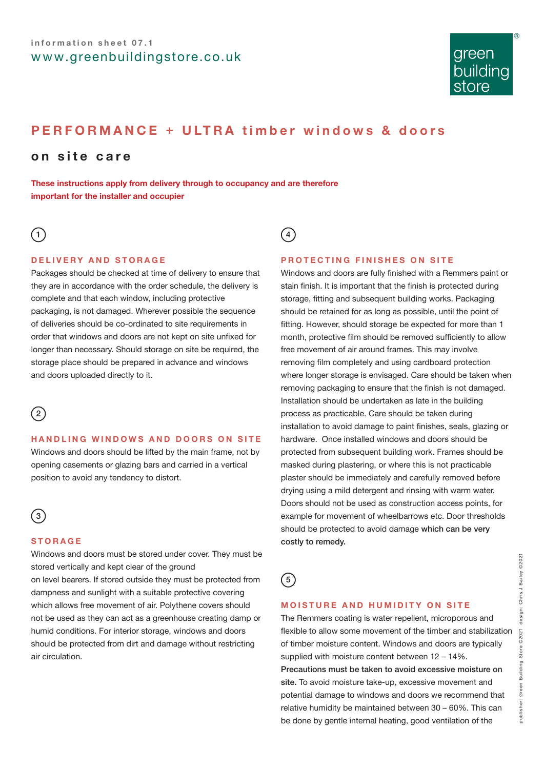

# **PERFORMANCE + ULTRA timber windows & doors**

# **on site care**

**These instructions apply from delivery through to occupancy and are therefore important for the installer and occupier**

# $(1)$

### **DELIVERY AND STORAGE**

Packages should be checked at time of delivery to ensure that they are in accordance with the order schedule, the delivery is complete and that each window, including protective packaging, is not damaged. Wherever possible the sequence of deliveries should be co-ordinated to site requirements in order that windows and doors are not kept on site unfixed for longer than necessary. Should storage on site be required, the storage place should be prepared in advance and windows and doors uploaded directly to it.



#### **HANDLING WINDOWS AND DOORS ON SITE**

Windows and doors should be lifted by the main frame, not by opening casements or glazing bars and carried in a vertical position to avoid any tendency to distort.



#### **STORAGE**

Windows and doors must be stored under cover. They must be stored vertically and kept clear of the ground on level bearers. If stored outside they must be protected from dampness and sunlight with a suitable protective covering which allows free movement of air. Polythene covers should not be used as they can act as a greenhouse creating damp or humid conditions. For interior storage, windows and doors should be protected from dirt and damage without restricting air circulation.

 $\binom{4}{ }$ 

#### **PROTECTING FINISHES ON SITE**

Windows and doors are fully finished with a Remmers paint or stain finish. It is important that the finish is protected during storage, fitting and subsequent building works. Packaging should be retained for as long as possible, until the point of fitting. However, should storage be expected for more than 1 month, protective film should be removed sufficiently to allow free movement of air around frames. This may involve removing film completely and using cardboard protection where longer storage is envisaged. Care should be taken when removing packaging to ensure that the finish is not damaged. Installation should be undertaken as late in the building process as practicable. Care should be taken during installation to avoid damage to paint finishes, seals, glazing or hardware. Once installed windows and doors should be protected from subsequent building work. Frames should be masked during plastering, or where this is not practicable plaster should be immediately and carefully removed before drying using a mild detergent and rinsing with warm water. Doors should not be used as construction access points, for example for movement of wheelbarrows etc. Door thresholds should be protected to avoid damage which can be very costly to remedy.



## **MOISTURE AND HUMIDITY ON SITE**

The Remmers coating is water repellent, microporous and flexible to allow some movement of the timber and stabilization of timber moisture content. Windows and doors are typically supplied with moisture content between 12 – 14%. Precautions must be taken to avoid excessive moisture on site. To avoid moisture take-up, excessive movement and potential damage to windows and doors we recommend that relative humidity be maintained between 30 – 60%. This can be done by gentle internal heating, good ventilation of the